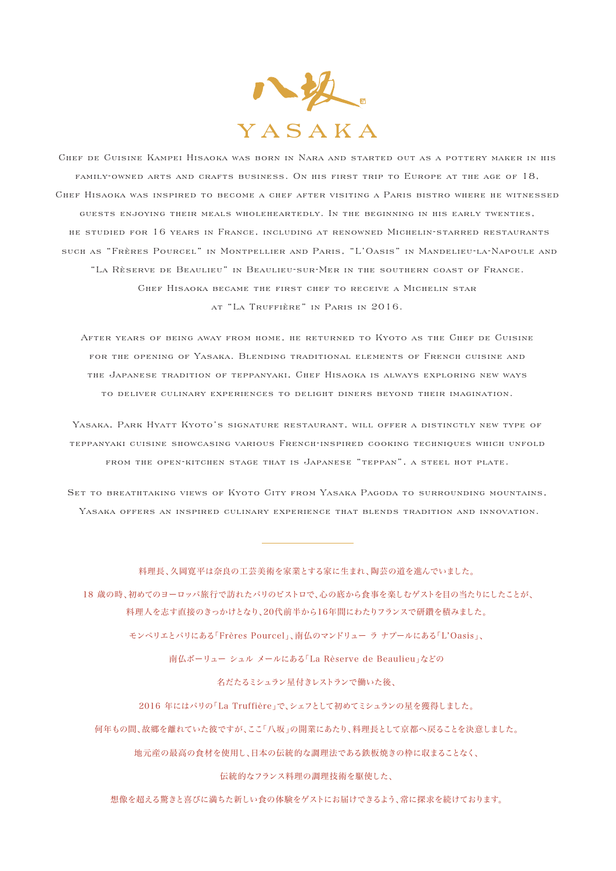

CHEE DE CUISINE KAMPEI HISAOKA WAS BORN IN NARA AND STARTED OUT AS A POTTERY MAKER IN HIS FAMILY-OWNED ARTS AND CRAFTS BUSINESS. ON HIS FIRST TRIP TO EUROPE AT THE AGE OF 18, GHEF HISAOKA WAS INSPIRED TO BECOME A CHEF AFTER VISITING A PARIS BISTRO WHERE HE WITNESSED guests enjoying their meals wholeheartedly. In the beginning in his early twenties, he studied for 16 years in France, including at renowned Michelin-starred restaurants SUCH AS "FRÈRES POURCEL" IN MONTPELLIER AND PARIS, "L'OASIS" IN MANDELIEU-LA-NAPOULE AND "LA RÈSERVE DE BEAULIEU" IN BEAULIEU-SUR-MER IN THE SOUTHERN COAST OF FRANCE. CHEF HISAOKA BECAME THE FIRST CHEF TO RECEIVE A MICHELIN STAR at "La Truffière" in Paris in 2016.

AFTER YEARS OF BEING AWAY FROM HOME. HE RETURNED TO KYOTO AS THE GHEF DE GUISINE FOR THE OPENING OF YASAKA. BLENDING TRADITIONAL ELEMENTS OF FRENCH CUISINE AND THE JAPANESE TRADITION OF TEPPANYAKI, CHEF HISAOKA IS ALWAYS EXPLORING NEW WAYS TO DELIVER CIILINARY EXPERIENCES TO DELIGHT DINERS BEYOND THEIR IMAGINATION

YASAKA, PARK HYATT KYOTO'S SIGNATURE RESTAURANT, WILL OFFER A DISTINCTLY NEW TYPE OF TEPPANYAKI GUISINE SHOWGASING VARIOUS FRENGH-INSPIRED GOOKING TEGHNIOUES WHIGH UNFOLD from the open-kitchen stage that is Japanese "teppan", a steel hot plate.

Set to breathtaking views of Kyoto City from Yasaka Pagoda to surrounding mountains, Yasaka offers an inspired culinary experience that blends tradition and innovation.

#### 料理長、久岡寛平は奈良の工芸美術を家業とする家に生まれ、陶芸の道を進んでいました。

 18 歳の時、初めてのヨーロッパ旅行で訪れたパリのビストロで、心の底から食事を楽しむゲストを目の当たりにしたことが、 料理人を志す直接のきっかけとなり、20代前半から16年間にわたりフランスで研鑽を積みました。

モンペリエとパリにある「Frères Pourcel」、南仏のマンドリュー ラ ナプールにある「L'Oasis」、

南仏ボーリュー シュル メールにある「La Rèserve de Beaulieu」などの

名だたるミシュラン星付きレストランで働いた後、

2016 年にはパリの「La Truffière」で、シェフとして初めてミシュランの星を獲得しました。

何年もの間、故郷を離れていた彼ですが、ここ「八坂」の開業にあたり、料理長として京都へ戻ることを決意しました。

地元産の最高の食材を使用し、日本の伝統的な調理法である鉄板焼きの枠に収まることなく、

伝統的なフランス料理の調理技術を駆使した、

想像を超える驚きと喜びに満ちた新しい食の体験をゲストにお届けできるよう、常に探求を続けております。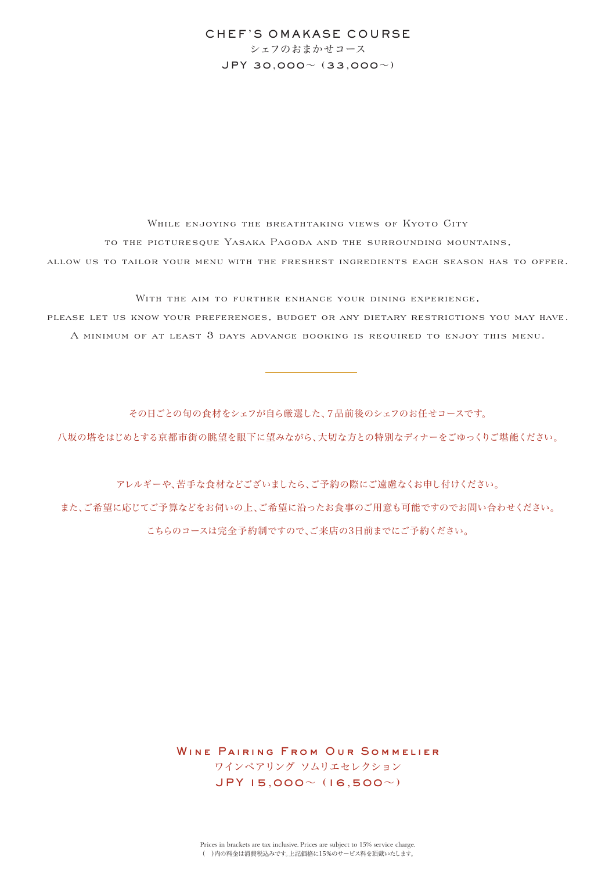# CHEF'S OMAKASE COURSE シェフのおまかせコース JPY 30,000~ (33,000~)

WHILE ENJOYING THE BREATHTAKING VIEWS OF KYOTO CITY TO THE PICTURESQUE YASAKA PAGODA AND THE SURROUNDING MOUNTAINS, ALLOW US TO TAILOR YOUR MENU WITH THE FRESHEST INGREDIENTS EACH SEASON HAS TO OFFER.

WITH THE AIM TO FURTHER ENHANCE YOUR DINING EXPERIENCE, please let us know your preferences, budget or any dietary restrictions you may have. A MINIMUM OF AT LEAST 3 DAYS ADVANCE BOOKING IS REQUIRED TO ENJOY THIS MENU.

その日ごとの旬の食材をシェフが自ら厳選した、7品前後のシェフのお任せコースです。 八坂の塔をはじめとする京都市街の眺望を眼下に望みながら、大切な方との特別なディナーをごゆっくりご堪能ください。

アレルギーや、苦手な食材などございましたら、ご予約の際にご遠慮なくお申し付けください。 また、ご希望に応じてご予算などをお伺いの上、ご希望に沿ったお食事のご用意も可能ですのでお問い合わせください。 こちらのコースは完全予約制ですので、ご来店の3日前までにご予約ください。

> WINE PAIRING FROM OUR SOMMELIER ワインペアリング ソムリエセレクション JPY 15,000~ (16,500~)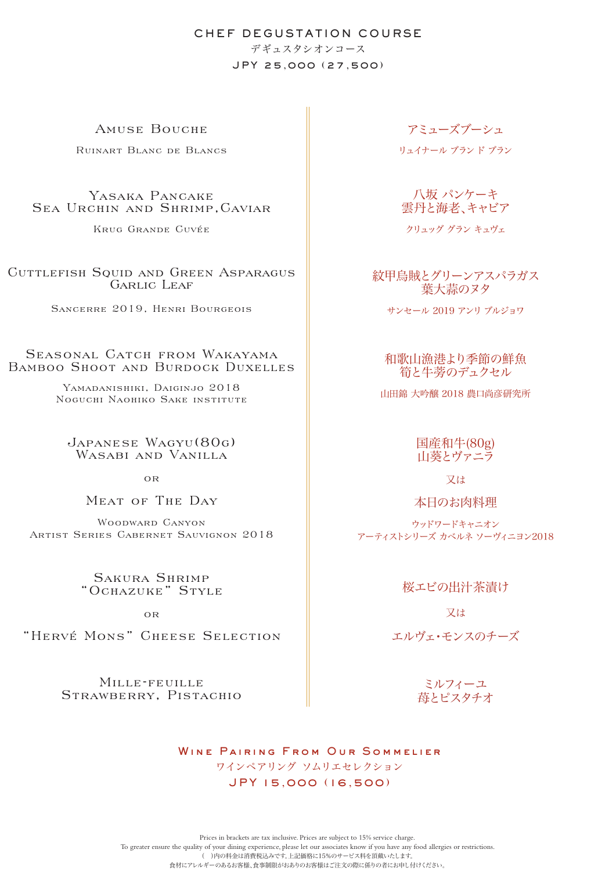# CHEF DEGUSTATION COURSE デギュスタシオンコース JPY 25,000 (27,500)

AMUSE BOUCHE

Ruinart Blanc de Blancs

Yasaka Pancake Sea Urchin and Shrimp,Caviar

KRUG GRANDE CUVÉE

Cuttlefish Squid and Green Asparagus GARLIC LEAF

Sancerre 2019, Henri Bourgeois

## SEASONAL CATCH FROM WAKAYAMA Bamboo Shoot and Burdock Duxelles

YAMADANISHIKI, DAIGINJO 2018 Noguchi Naohiko Sake institute

Japanese Wagyu(80g) Wasabi and Vanilla

 $\Omega$ 

Meat of The Day

Woodward Canyon Artist Series Cabernet Sauvignon 2018

> Sakura Shrimp "Ochazuke" Style

> > $\overline{OP}$

"Hervé Mons" Cheese Selection

Mille-feuille Strawberry, Pistachio アミューズブーシュ

リュイナール ブラン ド ブラン

八坂 パンケーキ 雲丹と海老、キャビア

クリュッグ グラン キュヴェ

紋甲烏賊とグリーンアスパラガス 葉大蒜のヌタ

サンセール 2019 アンリ ブルジョワ

和歌山漁港より季節の鮮魚 筍と牛蒡のデュクセル

山田錦 大吟醸 2018 農口尚彦研究所

国産和牛(80g) 山葵とヴァニラ

又は

本日のお肉料理

ウッドワードキャニオン アーティストシリーズ カベルネ ソーヴィニヨン2018

桜エビの出汁茶漬け

又は

エルヴェ・モンスのチーズ

ミルフィーユ 苺とピスタチオ

WINE PAIRING FROM OUR SOMMELIER ワインペアリング ソムリエセレクション JPY 15,000 (16,500)

Prices in brackets are tax inclusive. Prices are subject to 15% service charge. To greater ensure the quality of your dining experience, please let our associates know if you have any food allergies or restrictions. 。<br>( )内の料金は消費税込みです。上記価格に15%のサービス料を頂戴いたします。 食材にアレルギーのあるお客様、食事制限がおありのお客様はご注文の際に係りの者にお申し付けください。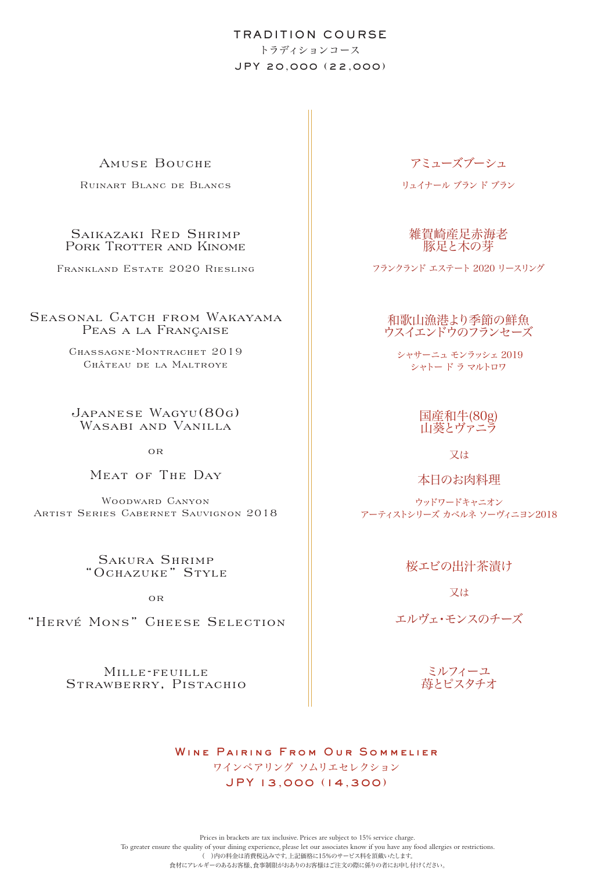# TRADITION COURSE トラディションコース JPY 20,000 (22,000)

## Amuse Bouche

Ruinart Blanc de Blancs

## Saikazaki Red Shrimp Pork Trotter and Kinome

Frankland Estate 2020 Riesling

SEASONAL CATCH FROM WAKAYAMA Peas a la Française

> Chassagne-Montrachet 2019 Château de la Maltroye

Japanese Wagyu(80g) WASABI AND VANILLA

 $\overline{OR}$ 

# Meat of The Day

Woodward Canyon Artist Series Cabernet Sauvignon 2018

> Sakura Shrimp "Ochazuke" Style

> > o r

"Hervé Mons" Cheese Selection

Mille-feuille Strawberry, Pistachio

# アミューズブーシュ

リュイナール ブラン ド ブラン

雑賀崎産足赤海老 豚足と木の芽

フランクランド エステート 2020 リースリング

## 和歌山漁港より季節の鮮魚 ウスイエンドウのフランセーズ

 シャサーニュ モンラッシェ 2019 シャトー ド ラ マルトロワ

## 国産和牛(80g) 山葵とヴァニラ

又は

本日のお肉料理

ウッドワードキャニオン アーティストシリーズ カベルネ ソーヴィニヨン2018

桜エビの出汁茶漬け

又は

エルヴェ・モンスのチーズ

ミルフィーユ 苺とピスタチオ

WINE PAIRING FROM OUR SOMMELIER ワインペアリング ソムリエセレクション JPY 13,000 (14,300)

Prices in brackets are tax inclusive. Prices are subject to 15% service charge. To greater ensure the quality of your dining experience, please let our associates know if you have any food allergies or restrictions. .<br>( )内の料金は消費税込みです。上記価格に15%のサービス料を頂戴いたします。 食材にアレルギーのあるお客様、食事制限がおありのお客様はご注文の際に係りの者にお申し付けください。